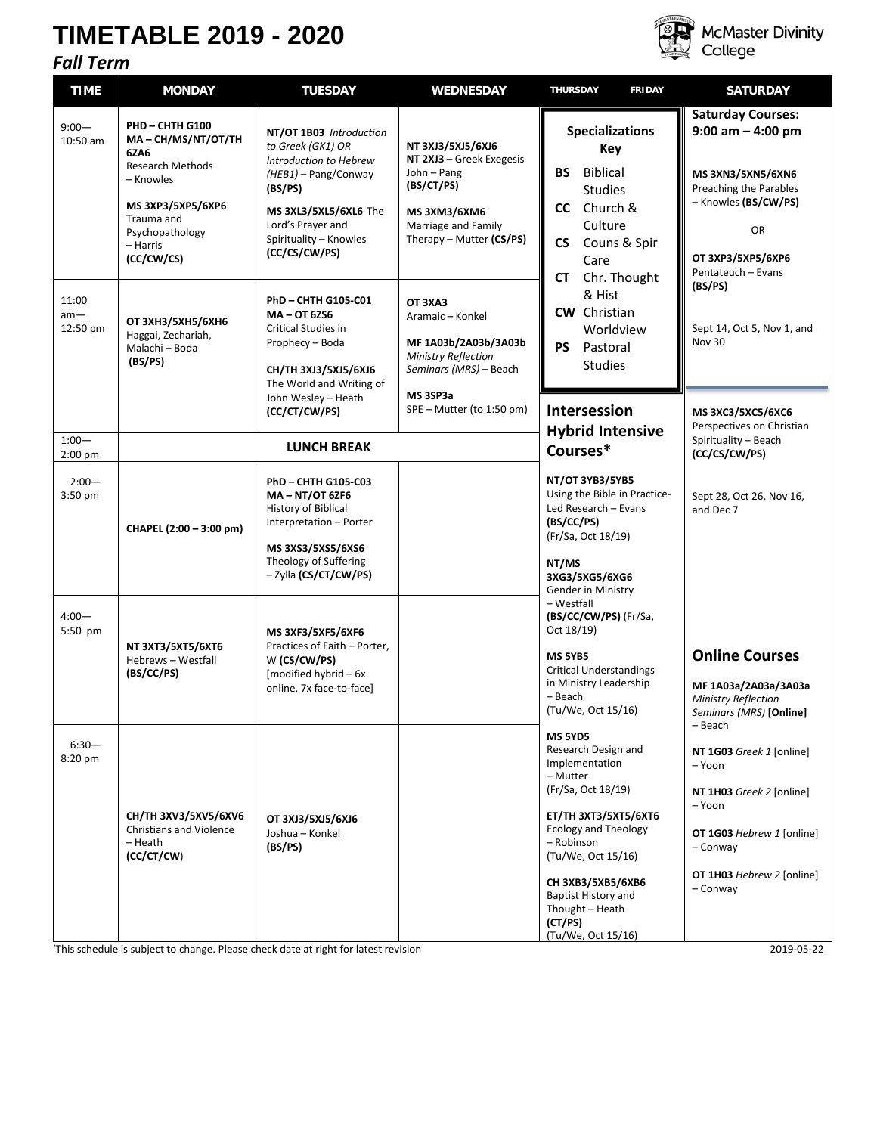## **TIMETABLE 2019 - 2020**



**McMaster Divinity** College

## *Fall Term* **TIME MONDAY TUESDAY WEDNESDAY THURSDAY FRIDAY SATURDAY** 9:00— 10:50 am **PHD – CHTH G100 MA – CH/MS/NT/OT/TH 6ZA6** Research Methods – Knowles **MS 3XP3/5XP5/6XP6** Trauma and Psychopathology – Harris **(CC/CW/CS) NT/OT 1B03** *Introduction to Greek (GK1) OR Introduction to Hebrew (HEB1)* – Pang/Conway **(BS/PS) MS 3XL3/5XL5/6XL6** The Lord's Prayer and Spirituality – Knowles **(CC/CS/CW/PS) NT 3XJ3/5XJ5/6XJ6 NT 2XJ3** – Greek Exegesis John – Pang **(BS/CT/PS) MS 3XM3/6XM6**  Marriage and Family Therapy – Mutter **(CS/PS) Intersession Hybrid Intensive Courses\* NT/OT 3YB3/5YB5** Using the Bible in Practice-Led Research – Evans **(BS/CC/PS)** (Fr/Sa, Oct 18/19) **NT/MS 3XG3/5XG5/6XG6** Gender in Ministry – Westfall **(BS/CC/CW/PS)** (Fr/Sa, Oct 18/19) **MS 5YB5** Critical Understandings in Ministry Leadership – Beach (Tu/We, Oct 15/16) **MS 5YD5** Research Design and Implementation – Mutter (Fr/Sa, Oct 18/19) **ET/TH 3XT3/5XT5/6XT6** Ecology and Theology – Robinson (Tu/We, Oct 15/16) **CH 3XB3/5XB5/6XB6** Baptist History and Thought – Heath **(CT/PS)** (Tu/We, Oct 15/16) **Saturday Courses: 9:00 am – 4:00 pm MS 3XN3/5XN5/6XN6** Preaching the Parables – Knowles **(BS/CW/PS)** OR **OT 3XP3/5XP5/6XP6** Pentateuch – Evans **(BS/PS)** Sept 14, Oct 5, Nov 1, and Nov 30 **MS 3XC3/5XC5/6XC6** Perspectives on Christian Spirituality – Beach **(CC/CS/CW/PS)** Sept 28, Oct 26, Nov 16, and Dec 7 **Online Courses MF 1A03a/2A03a/3A03a** *Ministry Reflection Seminars (MRS)* **[Online]** – Beach **NT 1G03** *Greek 1* [online] – Yoon **NT 1H03** *Greek 2* [online] – Yoon **OT 1G03** *Hebrew 1* [online] – Conway **OT 1H03** *Hebrew 2* [online] – Conway 11:00 am—<br>12:50 pm **ОТ ЗХНЗ/5ХН5/6ХН6** Haggai, Zechariah, Malachi – Boda **(BS/PS) PhD – CHTH G105-C01 MA – OT 6ZS6**  Critical Studies in Prophecy – Boda **CH/TH 3XJ3/5XJ5/6XJ6** The World and Writing of John Wesley – Heath **(CC/CT/CW/PS) OT 3XA3** Aramaic – Konkel **MF 1A03b/2A03b/3A03b** *Ministry Reflection Seminars (MRS)* – Beach **MS 3SP3a** SPE – Mutter (to 1:50 pm) 1:00— 1:00<sup>-</sup> **LUNCH BREAK**<br>2:00 pm  $2:00-$ 3:50 pm **CHAPEL (2:00 – 3:00 pm) PhD – CHTH G105-C03 MA – NT/OT 6ZF6** History of Biblical Interpretation – Porter **MS 3XS3/5XS5/6XS6**  Theology of Suffering – Zylla **(CS/CT/CW/PS)** 4:00— 5:50 pm **NT 3XT3/5XT5/6XT6** Hebrews – Westfall **(BS/CC/PS) MS 3XF3/5XF5/6XF6** Practices of Faith – Porter, W **(CS/CW/PS)** [modified hybrid – 6x online, 7x face-to-face] 6:30— 8:20 pm **CH/TH 3XV3/5XV5/6XV6** Christians and Violence – Heath **(CC/CT/CW**) **OT 3XJ3/5XJ5/6XJ6** Joshua – Konkel **(BS/PS) Specializations Key BS** Biblical Studies **CC** Church & **Culture CS** Couns & Spir Care **CT** Chr. Thought & Hist **CW** Christian Worldview **PS** Pastoral Studies

'This schedule is subject to change. Please check date at right for latest revision 2019-05-22